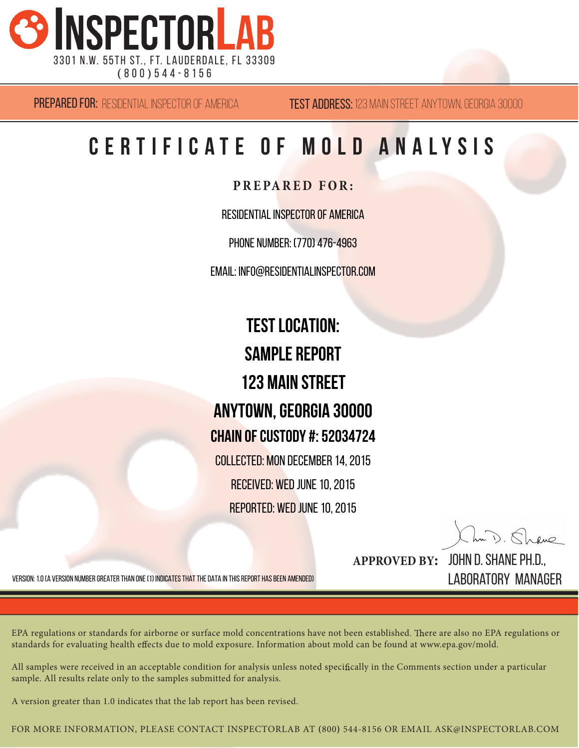

**TEST ADDRESS:** 123 MAIN STREET ANYTOWN, GEORGIA 30000

# **C e r t i f i c a t e o f m o l d A n a l y s i s**

**PRE PA RED FOR:**

Residential Inspector of America

Phone Number: (770) 476-4963

Email: info@residentialinspector.com

**Test Location: SAMPI F REPORT 123 Main Street Anytown, GEORGIA 30000 Chain of Custody #: 52034724** Collected: Mon December 14, 2015 Received: Wed June 10, 2015 Reported: Wed June 10, 2015

In D. Shave

Version: 1.0 (a version number greater than one (1) indicates that the data in this report has been amended)

**APPROVED BY:** John D. Shane Ph.D., Laboratory Manager

EPA regulations or standards for airborne or surface mold concentrations have not been established. There are also no EPA regulations or standards for evaluating health effects due to mold exposure. Information about mold can be found at www.epa.gov/mold.

All samples were received in an acceptable condition for analysis unless noted specifically in the Comments section under a particular sample. All results relate only to the samples submitted for analysis.

A version greater than 1.0 indicates that the lab report has been revised.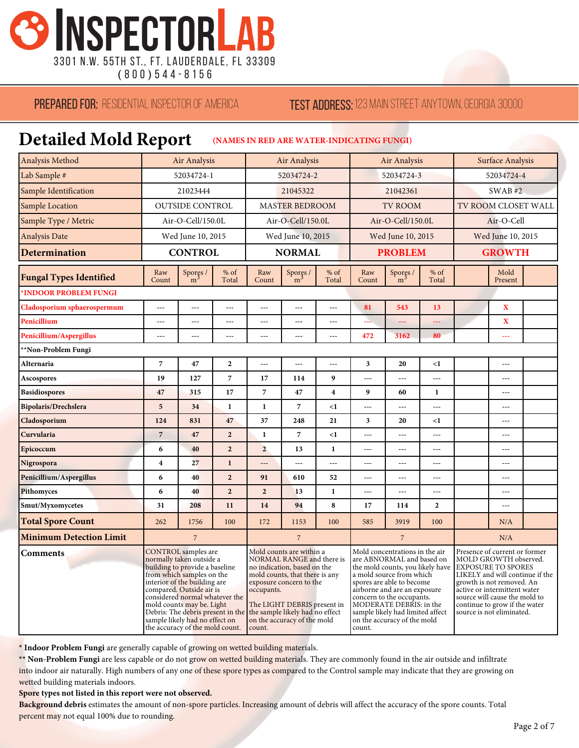

**(** 8 0 0 **)** 5 4 4 - 8 1 5 6

#### **PREPARED FOR: RESIDENTIAL INSPECTOR OF AMERICA**

#### **TEST ADDRESS: 123 MAIN STREET ANYTOWN, GEORGIA 30000**

## **Detailed Mold Report (NAMES IN RED ARE WATER-INDICATING FUNGI)**

| Analysis Method                | Air Analysis                                                                                                                                                                                                                                                                                                                                               |                            |                 | <b>Air Analysis</b>                                                                                                                                                                                                                                                        |                            |                         | Air Analysis                                                                                                                                                                                                                                                                                                                  |                            |                | Surface Analysis                                                                                                                                                                                                                                                                   |                         |  |
|--------------------------------|------------------------------------------------------------------------------------------------------------------------------------------------------------------------------------------------------------------------------------------------------------------------------------------------------------------------------------------------------------|----------------------------|-----------------|----------------------------------------------------------------------------------------------------------------------------------------------------------------------------------------------------------------------------------------------------------------------------|----------------------------|-------------------------|-------------------------------------------------------------------------------------------------------------------------------------------------------------------------------------------------------------------------------------------------------------------------------------------------------------------------------|----------------------------|----------------|------------------------------------------------------------------------------------------------------------------------------------------------------------------------------------------------------------------------------------------------------------------------------------|-------------------------|--|
| Lab Sample #                   | 52034724-1                                                                                                                                                                                                                                                                                                                                                 |                            |                 | 52034724-2                                                                                                                                                                                                                                                                 |                            |                         | 52034724-3                                                                                                                                                                                                                                                                                                                    |                            |                | 52034724-4                                                                                                                                                                                                                                                                         |                         |  |
| Sample Identification          | 21023444                                                                                                                                                                                                                                                                                                                                                   |                            |                 | 21045322                                                                                                                                                                                                                                                                   |                            |                         | 21042361                                                                                                                                                                                                                                                                                                                      |                            |                | SWAB#2                                                                                                                                                                                                                                                                             |                         |  |
| Sample Location                | <b>OUTSIDE CONTROL</b>                                                                                                                                                                                                                                                                                                                                     |                            |                 | <b>MASTER BEDROOM</b>                                                                                                                                                                                                                                                      |                            |                         | <b>TV ROOM</b>                                                                                                                                                                                                                                                                                                                |                            |                | TV ROOM CLOSET WALL                                                                                                                                                                                                                                                                |                         |  |
| Sample Type / Metric           | Air-O-Cell/150.0L                                                                                                                                                                                                                                                                                                                                          |                            |                 | Air-O-Cell/150.0L                                                                                                                                                                                                                                                          |                            |                         | Air-O-Cell/150.0L                                                                                                                                                                                                                                                                                                             |                            |                | Air-O-Cell                                                                                                                                                                                                                                                                         |                         |  |
| <b>Analysis Date</b>           |                                                                                                                                                                                                                                                                                                                                                            | Wed June 10, 2015          |                 | Wed June 10, 2015                                                                                                                                                                                                                                                          |                            |                         | Wed June 10, 2015                                                                                                                                                                                                                                                                                                             |                            |                | Wed June 10, 2015                                                                                                                                                                                                                                                                  |                         |  |
| Determination                  | <b>CONTROL</b>                                                                                                                                                                                                                                                                                                                                             |                            | <b>NORMAL</b>   |                                                                                                                                                                                                                                                                            |                            | <b>PROBLEM</b>          |                                                                                                                                                                                                                                                                                                                               |                            | <b>GROWTH</b>  |                                                                                                                                                                                                                                                                                    |                         |  |
| <b>Fungal Types Identified</b> | Raw<br>Count                                                                                                                                                                                                                                                                                                                                               | Spores /<br>m <sup>3</sup> | $%$ of<br>Total | Raw<br>Count                                                                                                                                                                                                                                                               | Spores /<br>m <sup>3</sup> | $%$ of<br>Total         | Raw<br>Count                                                                                                                                                                                                                                                                                                                  | Spores /<br>m <sup>3</sup> | % of<br>Total  |                                                                                                                                                                                                                                                                                    | Mold<br>Present         |  |
| *INDOOR PROBLEM FUNGI          |                                                                                                                                                                                                                                                                                                                                                            |                            |                 |                                                                                                                                                                                                                                                                            |                            |                         |                                                                                                                                                                                                                                                                                                                               |                            |                |                                                                                                                                                                                                                                                                                    |                         |  |
| Cladosporium sphaerospermum    | ---                                                                                                                                                                                                                                                                                                                                                        | ---                        | $---$           | $---$                                                                                                                                                                                                                                                                      | $---$                      | $\overline{a}$          | 81                                                                                                                                                                                                                                                                                                                            | 543                        | 13             |                                                                                                                                                                                                                                                                                    | $\mathbf X$             |  |
| Penicillium                    | $-$ --                                                                                                                                                                                                                                                                                                                                                     | $-$                        | ---             | ---                                                                                                                                                                                                                                                                        | $\overline{a}$             | $\overline{a}$          |                                                                                                                                                                                                                                                                                                                               |                            |                |                                                                                                                                                                                                                                                                                    | $\overline{\mathbf{X}}$ |  |
| Penicillium/Aspergillus        | $\overline{a}$                                                                                                                                                                                                                                                                                                                                             | $\overline{a}$             | $---$           | ---                                                                                                                                                                                                                                                                        | $---$                      | $-$ --                  | 472                                                                                                                                                                                                                                                                                                                           | 3162                       | 80             |                                                                                                                                                                                                                                                                                    | ---                     |  |
| **Non-Problem Fungi            |                                                                                                                                                                                                                                                                                                                                                            |                            |                 |                                                                                                                                                                                                                                                                            |                            |                         |                                                                                                                                                                                                                                                                                                                               |                            |                |                                                                                                                                                                                                                                                                                    |                         |  |
| Alternaria                     | 7                                                                                                                                                                                                                                                                                                                                                          | 47                         | $\mathbf{2}$    | ---                                                                                                                                                                                                                                                                        | $\overline{a}$             | ---                     | 3                                                                                                                                                                                                                                                                                                                             | 20                         | $\leq$ 1       |                                                                                                                                                                                                                                                                                    | ---                     |  |
| <b>Ascospores</b>              | 19                                                                                                                                                                                                                                                                                                                                                         | 127                        | $\overline{7}$  | 17                                                                                                                                                                                                                                                                         | 114                        | 9                       | $\overline{a}$                                                                                                                                                                                                                                                                                                                | $\overline{a}$             | ---            |                                                                                                                                                                                                                                                                                    | $---$                   |  |
| <b>Basidiospores</b>           | 47                                                                                                                                                                                                                                                                                                                                                         | 315                        | 17              | 7                                                                                                                                                                                                                                                                          | 47                         | $\overline{\mathbf{4}}$ | 9                                                                                                                                                                                                                                                                                                                             | 60                         | $\mathbf{1}$   |                                                                                                                                                                                                                                                                                    | ---                     |  |
| <b>Bipolaris/Drechslera</b>    | 5                                                                                                                                                                                                                                                                                                                                                          | 34                         | $\mathbf{1}$    | $\mathbf{1}$                                                                                                                                                                                                                                                               | 7                          | $\leq$ 1                | $---$                                                                                                                                                                                                                                                                                                                         | $\overline{a}$             | $\overline{a}$ |                                                                                                                                                                                                                                                                                    | $---$                   |  |
| Cladosporium                   | 124                                                                                                                                                                                                                                                                                                                                                        | 831                        | 47              | 37                                                                                                                                                                                                                                                                         | 248                        | 21                      | 3                                                                                                                                                                                                                                                                                                                             | 20                         | $\leq$ 1       |                                                                                                                                                                                                                                                                                    | ---                     |  |
| Curvularia                     | $\overline{7}$                                                                                                                                                                                                                                                                                                                                             | 47                         | $\overline{2}$  | $\mathbf{1}$                                                                                                                                                                                                                                                               | $\overline{7}$             | $\leq$ 1                | $\overline{a}$                                                                                                                                                                                                                                                                                                                | $\overline{a}$             | $\overline{a}$ |                                                                                                                                                                                                                                                                                    | ---                     |  |
| Epicoccum                      | 6                                                                                                                                                                                                                                                                                                                                                          | 40                         | $\overline{2}$  | $\overline{2}$                                                                                                                                                                                                                                                             | 13                         | $\mathbf{1}$            | $\overline{a}$                                                                                                                                                                                                                                                                                                                | $\overline{a}$             | $---$          |                                                                                                                                                                                                                                                                                    | $\overline{a}$          |  |
| Nigrospora                     | $\overline{\mathbf{4}}$                                                                                                                                                                                                                                                                                                                                    | 27                         | $\mathbf{1}$    | ---                                                                                                                                                                                                                                                                        | $\overline{a}$             | $\overline{a}$          | $\overline{a}$                                                                                                                                                                                                                                                                                                                | $\overline{a}$             | $\overline{a}$ |                                                                                                                                                                                                                                                                                    | ---                     |  |
| Penicillium/Aspergillus        | 6                                                                                                                                                                                                                                                                                                                                                          | 40                         | $\overline{2}$  | 91                                                                                                                                                                                                                                                                         | 610                        | 52                      | $-$                                                                                                                                                                                                                                                                                                                           | $\overline{a}$             | $\overline{a}$ |                                                                                                                                                                                                                                                                                    | $-$                     |  |
| Pithomyces                     | 6                                                                                                                                                                                                                                                                                                                                                          | 40                         | $\overline{2}$  | $\overline{2}$                                                                                                                                                                                                                                                             | 13                         | $\mathbf{1}$            | ---                                                                                                                                                                                                                                                                                                                           | $\overline{a}$             | ---            |                                                                                                                                                                                                                                                                                    | ---                     |  |
| Smut/Myxomycetes               | 31                                                                                                                                                                                                                                                                                                                                                         | 208                        | 11              | 14                                                                                                                                                                                                                                                                         | 94                         | 8                       | 17                                                                                                                                                                                                                                                                                                                            | 114                        | $\overline{2}$ |                                                                                                                                                                                                                                                                                    | ---                     |  |
| <b>Total Spore Count</b>       | 262                                                                                                                                                                                                                                                                                                                                                        | 1756                       | 100             | 172                                                                                                                                                                                                                                                                        | 1153                       | 100                     | 585                                                                                                                                                                                                                                                                                                                           | 3919                       | 100            |                                                                                                                                                                                                                                                                                    | N/A                     |  |
| <b>Minimum Detection Limit</b> | $\overline{7}$                                                                                                                                                                                                                                                                                                                                             |                            | $\overline{7}$  |                                                                                                                                                                                                                                                                            | $\overline{7}$             |                         |                                                                                                                                                                                                                                                                                                                               | N/A                        |                |                                                                                                                                                                                                                                                                                    |                         |  |
| <b>Comments</b>                | <b>CONTROL</b> samples are<br>normally taken outside a<br>building to provide a baseline<br>from which samples on the<br>interior of the building are<br>compared. Outside air is<br>considered normal whatever the<br>mold counts may be. Light<br>Debris: The debris present in the<br>sample likely had no effect on<br>the accuracy of the mold count. |                            |                 | Mold counts are within a<br>NORMAL RANGE and there is<br>no indication, based on the<br>mold counts, that there is any<br>exposure concern to the<br>occupants.<br>The LIGHT DEBRIS present in<br>the sample likely had no effect<br>on the accuracy of the mold<br>count. |                            |                         | Mold concentrations in the air<br>are ABNORMAL and based on<br>the mold counts, you likely have<br>a mold source from which<br>spores are able to become<br>airborne and are an exposure<br>concern to the occupants.<br>MODERATE DEBRIS: in the<br>sample likely had limited affect<br>on the accuracy of the mold<br>count. |                            |                | Presence of current or former<br>MOLD GROWTH observed.<br><b>EXPOSURE TO SPORES</b><br>LIKELY and will continue if the<br>growth is not removed. An<br>active or intermittent water<br>source will cause the mold to<br>continue to grow if the water<br>source is not eliminated. |                         |  |

**\* Indoor Problem Fungi** are generally capable of growing on wetted building materials.

**\*\* Non-Problem Fungi** are less capable or do not grow on wetted building materials. They are commonly found in the air outside and infiltrate into indoor air naturally. High numbers of any one of these spore types as compared to the Control sample may indicate that they are growing on wetted building materials indoors.

#### **Spore types not listed in this report were not observed.**

**Background debris** estimates the amount of non-spore particles. Increasing amount of debris will affect the accuracy of the spore counts. Total percent may not equal 100% due to rounding.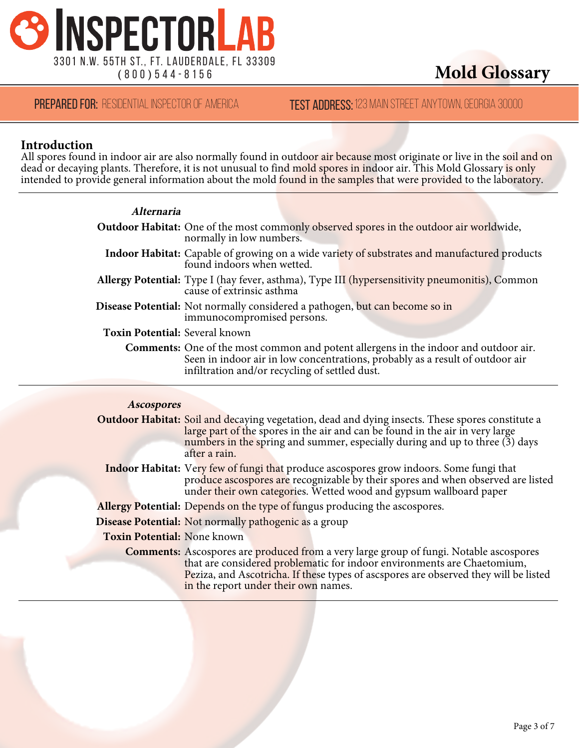

### **TEST ADDRESS: 123 MAIN STREET ANYTOWN, GEORGIA 30000**

#### **Introduction**

All spores found in indoor air are also normally found in outdoor air because most originate or live in the soil and on dead or decaying plants. Therefore, it is not unusual to fin<mark>d mold spores in ind</mark>oor air. This Mold Glossary <mark>is only</mark> intended to provide general information about the mold <mark>found in the samples t</mark>hat were provided to the laboratory.

| <i><b>Alternaria</b></i>       |                                                                                                                                                                                                                                |
|--------------------------------|--------------------------------------------------------------------------------------------------------------------------------------------------------------------------------------------------------------------------------|
|                                | <b>Outdoor Habitat:</b> One of the most commonly observed spores in the outdoor air worldwide,<br>normally in low numbers.                                                                                                     |
|                                | Indoor Habitat: Capable of growing on a wide variety of substrates and manufactured products<br>found indoors when wetted.                                                                                                     |
|                                | Allergy Potential: Type I (hay fever, asthma), Type III (hypersensitivity pneumonitis), Common<br>cause of extrinsic asthma                                                                                                    |
|                                | Disease Potential: Not normally considered a pathogen, but can become so in<br>immunocompromised persons.                                                                                                                      |
| Toxin Potential: Several known |                                                                                                                                                                                                                                |
|                                | <b>Comments:</b> One of the most common and potent allergens in the indoor and outdoor air.<br>Seen in indoor air in low concentrations, probably as a result of outdoor air<br>infiltration and/or recycling of settled dust. |
|                                |                                                                                                                                                                                                                                |

| <b>Ascospores</b>                  |                                                                                                                                                                                                                                                                                           |
|------------------------------------|-------------------------------------------------------------------------------------------------------------------------------------------------------------------------------------------------------------------------------------------------------------------------------------------|
|                                    | <b>Outdoor Habitat:</b> Soil and decaying vegetation, dead and dying insects. These spores constitute a<br>large part of the spores in the air and can be found in the air in very large<br>numbers in the spring and summer, especially during and up to three (3) days<br>after a rain. |
|                                    | <b>Indoor Habitat:</b> Very few of fungi that produce ascospores grow indoors. Some fungi that<br>produce ascospores are recognizable by their spores and when observed are listed<br>under their own categories. Wetted wood and gypsum wallboard paper                                  |
|                                    | Allergy Potential: Depends on the type of fungus producing the ascospores.                                                                                                                                                                                                                |
|                                    | <b>Disease Potential:</b> Not normally pathogenic as a group                                                                                                                                                                                                                              |
| <b>Toxin Potential: None known</b> |                                                                                                                                                                                                                                                                                           |
|                                    | <b>Comments:</b> Ascospores are produced from a very large group of fungi. Notable ascospores<br>that are considered problematic for indoor environments are Chaetomium,<br>Peziza, and Ascotricha. If these types of ascspores are observed they will be listed                          |
|                                    | in the report under their own names.                                                                                                                                                                                                                                                      |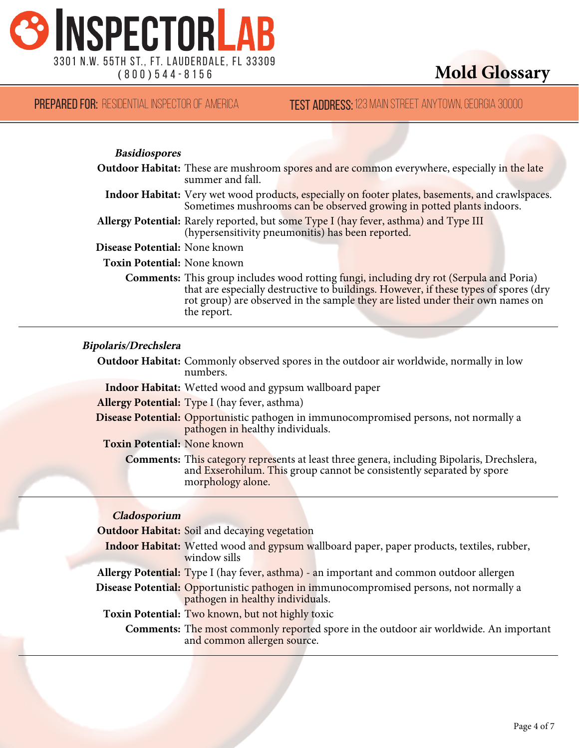

| <b>PREPARED FOR:</b> RESIDENTIAL INSPECTOR OF AMERICA | <b>TEST ADDRESS:</b> 123 MAIN STREET ANYTOWN, GEORGIA 30000 |
|-------------------------------------------------------|-------------------------------------------------------------|
|-------------------------------------------------------|-------------------------------------------------------------|

#### **Basidiospores**

|                               | <b>Outdoor Habitat:</b> These are mushroom spores and are common everywhere, especially in the late<br>summer and fall.                                                                                                                                                                 |
|-------------------------------|-----------------------------------------------------------------------------------------------------------------------------------------------------------------------------------------------------------------------------------------------------------------------------------------|
|                               | Indoor Habitat: Very wet wood products, especially on footer plates, basements, and crawlspaces.<br>Sometimes mushrooms can be observed growing in potted plants indoors.                                                                                                               |
|                               | Allergy Potential: Rarely reported, but some Type I (hay fever, asthma) and Type III<br>(hypersensitivity pneumonitis) has been reported.                                                                                                                                               |
| Disease Potential: None known |                                                                                                                                                                                                                                                                                         |
| Toxin Potential: None known   |                                                                                                                                                                                                                                                                                         |
|                               | <b>Comments:</b> This group includes wood rotting fungi, including dry rot (Serpula and Poria)<br>that are especially destructive to buildings. However, if these types of spores (dry<br>rot group) are observed in the sample they are listed under their own names on<br>the report. |

#### **Bipolaris/Drechslera**

**Outdoor Habitat:** Commonly observed spores in the outdoor air worldwide, normally in low numbers.

**Indoor Habitat:** Wetted wood and gypsum wallboard paper

**Allergy Potential:** Type I (hay fever, asthma)

**Disease Potential:** Opportunistic pathogen in immunocompromised persons, not normally a pathogen in healthy individuals.

**Toxin Potential:** None known

**Comments:** This category represents at least three genera, including Bipolaris, Drechslera, and Exserohilum. This group cannot be consistently separated by spore morphology alone.

#### **Cladosporium**

**Outdoor Habitat:** Soil and decaying vegetation **Indoor Habitat:** Wetted wood and gypsum wallboard paper, paper products, textiles, rubber, window sills **Allergy Potential:** Type I (hay fever, asthma) - an important and common outdoor allergen **Disease Potential:** Opportunistic pathogen in immunocompromised persons, not normally a pathogen in healthy individuals. **Toxin Potential:** Two known, but not highly toxic **Comments:** The most commonly reported spore in the outdoor air worldwide. An important and common allergen source.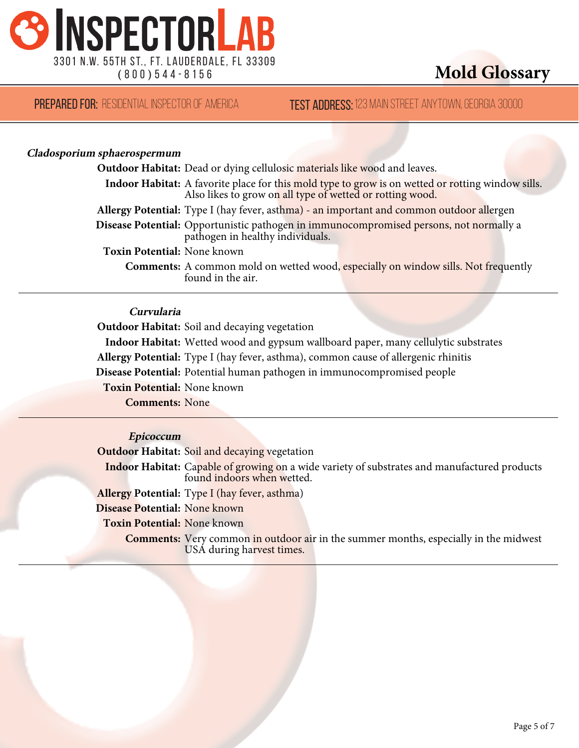

**TEST ADDRESS: 123 MAIN STREET ANYTOWN, GEORGIA 30000** 

#### **Cladosporium sphaerospermum**

|                             | <b>Outdoor Habitat:</b> Dead or dying cellulosic materials like wood and leaves.                                                                               |
|-----------------------------|----------------------------------------------------------------------------------------------------------------------------------------------------------------|
|                             | Indoor Habitat: A favorite place for this mold type to grow is on wetted or rotting window sills.<br>Also likes to grow on all type of wetted or rotting wood. |
|                             | Allergy Potential: Type I (hay fever, asthma) - an important and common outdoor allergen                                                                       |
|                             | Disease Potential: Opportunistic pathogen in immunocompromised persons, not normally a<br>pathogen in healthy individuals.                                     |
| Toxin Potential: None known |                                                                                                                                                                |
|                             | <b>Comments:</b> A common mold on wetted wood, especially on window sills. Not frequently<br>found in the air.                                                 |

#### **Curvularia**

**Outdoor Habitat:** Soil and decaying vegetation

**Indoor Habitat:** Wetted wood and gypsum wallboard paper, many cellulytic substrates

**Allergy Potential:** Type I (hay fever, asthma), common cause of allergenic rhinitis

**Disease Potential:** Potential human pathogen in immunocompromised people

**Toxin Potential:** None known

**Comments:** None

#### **Epicoccum**

**Outdoor Habitat:** Soil and decaying vegetation

**Indoor Habitat:** Capable of growing on a wide variety of substrates and manufactured products found indoors when wetted.

**Allergy Potential:** Type I (hay fever, asthma)

**Disease Potential:** None known

**Toxin Potential:** None known

**Comments:** Very common in outdoor air in the summer months, especially in the midwest USA during harvest times.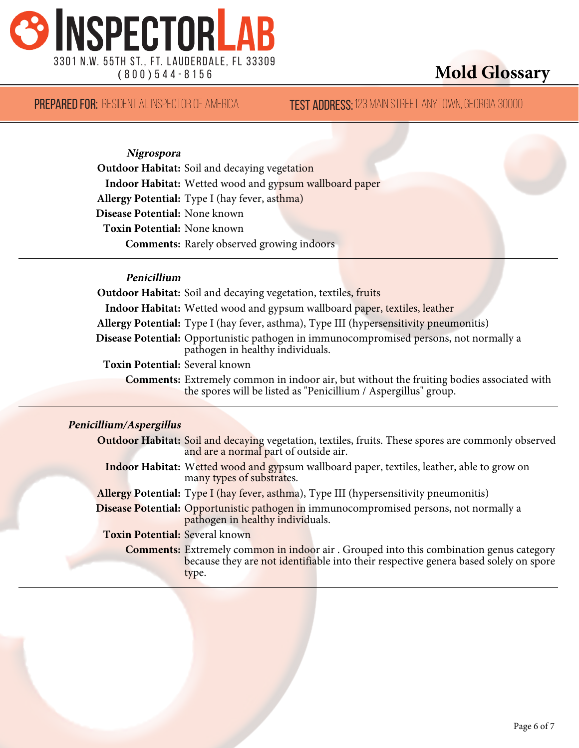

**TEST ADDRESS:** 123 MAIN STREET ANYTOWN, GEORGIA 30000

**Nigrospora**

**Outdoor Habitat:** Soil and decaying vegetation **Indoor Habitat:** Wetted wood and gypsum wallboard paper **Allergy Potential:** Type I (hay fever, asthma) **Disease Potential:** None known **Toxin Potential:** None known **Comments:** Rarely observed growing indoors

#### **Penicillium**

**Outdoor Habitat:** Soil and decaying vegetation, textiles, fruits **Indoor Habitat:** Wetted wood and gypsum wallboard paper, textiles, leather **Allergy Potential:** Type I (hay fever, asthma), Type III (hypersensitivity pneumonitis) **Disease Potential:** Opportunistic pathogen in immunocompromised persons, not normally a pathogen in healthy individuals. **Toxin Potential:** Several known **Comments:** Extremely common in indoor air, but without the fruiting bodies associated with the spores will be listed as "Penicillium / Aspergillus" group.

#### **Penicillium/Aspergillus**

|                                       | <b>Outdoor Habitat:</b> Soil and decaying vegetation, textiles, fruits. These spores are commonly observed<br>and are a normal part of outside air.                                             |
|---------------------------------------|-------------------------------------------------------------------------------------------------------------------------------------------------------------------------------------------------|
|                                       | <b>Indoor Habitat:</b> Wetted wood and gypsum wallboard paper, textiles, leather, able to grow on<br>many types of substrates.                                                                  |
|                                       | <b>Allergy Potential:</b> Type I (hay fever, asthma), Type III (hypersensitivity pneumonitis)                                                                                                   |
|                                       | Disease Potential: Opportunistic pathogen in immunocompromised persons, not normally a<br>pathogen in healthy individuals.                                                                      |
| <b>Toxin Potential: Several known</b> |                                                                                                                                                                                                 |
|                                       | <b>Comments:</b> Extremely common in indoor air . Grouped into this combination genus category<br>because they are not identifiable into their respective genera based solely on spore<br>type. |